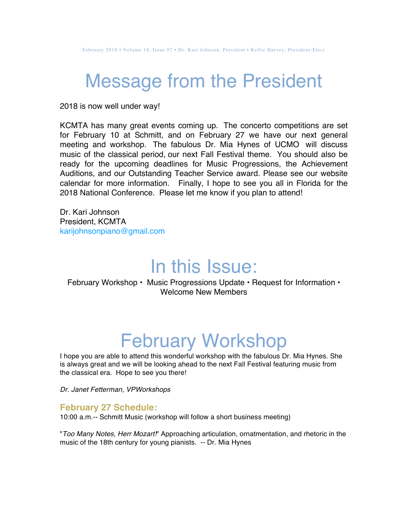### Message from the President

2018 is now well under way!

KCMTA has many great events coming up. The concerto competitions are set for February 10 at Schmitt, and on February 27 we have our next general meeting and workshop. The fabulous Dr. Mia Hynes of UCMO will discuss music of the classical period, our next Fall Festival theme. You should also be ready for the upcoming deadlines for Music Progressions, the Achievement Auditions, and our Outstanding Teacher Service award. Please see our website calendar for more information. Finally, I hope to see you all in Florida for the 2018 National Conference. Please let me know if you plan to attend!

Dr. Kari Johnson President, KCMTA karijohnsonpiano@gmail.com

### In this Issue:

February Workshop • Music Progressions Update • Request for Information • Welcome New Members

# February Workshop

I hope you are able to attend this wonderful workshop with the fabulous Dr. Mia Hynes. She is always great and we will be looking ahead to the next Fall Festival featuring music from the classical era. Hope to see you there!

*Dr. Janet Fetterman, VPWorkshops*

#### **February 27 Schedule:**

10:00 a.m.-- Schmitt Music (workshop will follow a short business meeting)

"*Too Many Notes, Herr Mozart!*" Approaching articulation, ornatmentation, and rhetoric in the music of the 18th century for young pianists. -- Dr. Mia Hynes